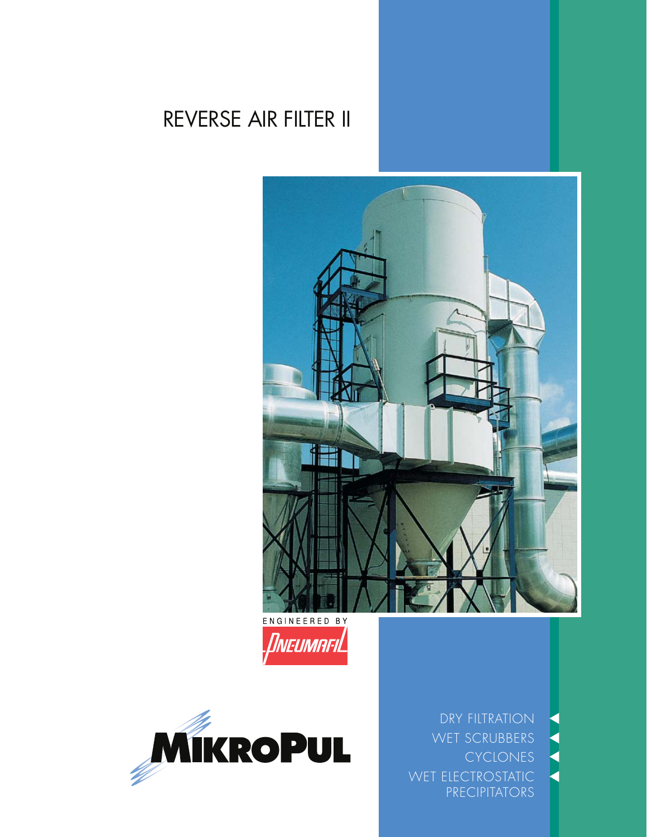### REVERSE AIR FILTER II







DRY FILTRATION WET SCRUBBERS CYCLONES WET ELECTROSTATIC PRECIPITATORS

◀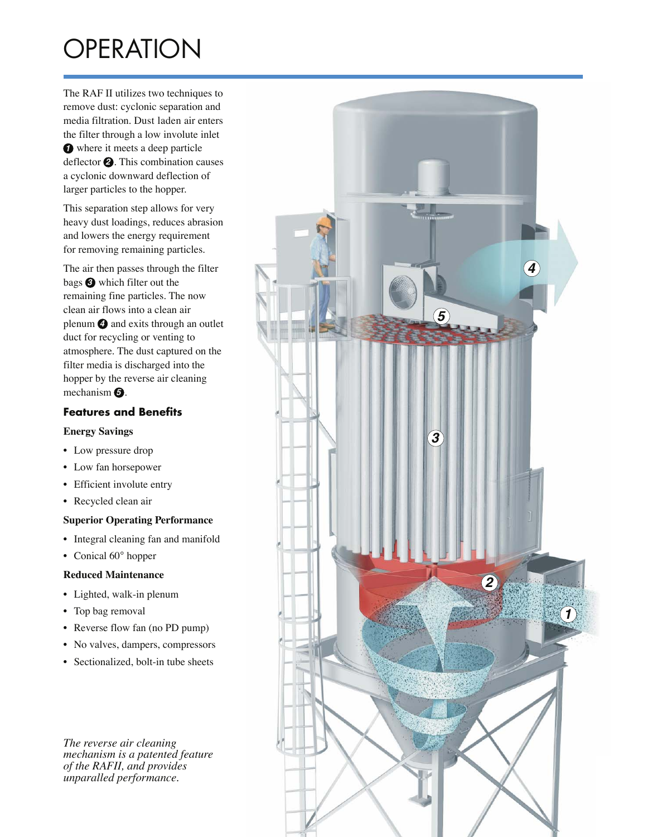# **OPERATION**

The RAF II utilizes two techniques to remove dust: cyclonic separation and media filtration. Dust laden air enters the filter through a low involute inlet *1* where it meets a deep particle deflector *2* . This combination causes a cyclonic downward deflection of larger particles to the hopper.

This separation step allows for very heavy dust loadings, reduces abrasion and lowers the energy requirement for removing remaining particles.

The air then passes through the filter bags *3* which filter out the remaining fine particles. The now clean air flows into a clean air plenum *4* and exits through an outlet duct for recycling or venting to atmosphere. The dust captured on the filter media is discharged into the hopper by the reverse air cleaning mechanism *5* .

#### **Features and Benefits**

#### **Energy Savings**

- Low pressure drop
- Low fan horsepower
- Efficient involute entry
- Recycled clean air

#### **Superior Operating Performance**

- Integral cleaning fan and manifold
- Conical 60° hopper

#### **Reduced Maintenance**

- Lighted, walk-in plenum
- Top bag removal
- Reverse flow fan (no PD pump)
- No valves, dampers, compressors
- Sectionalized, bolt-in tube sheets

*The reverse air cleaning mechanism is a patented feature of the RAFII, and provides unparalled performance.*

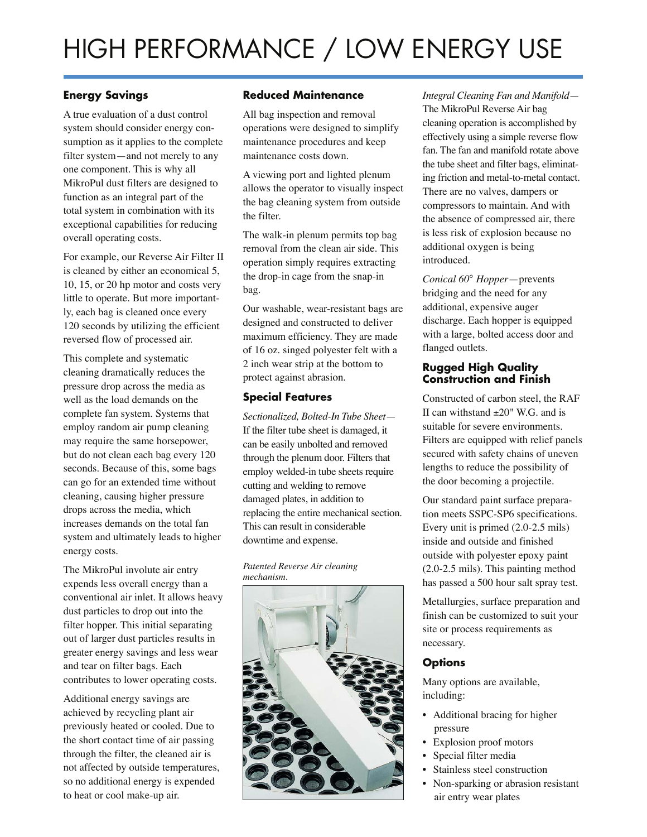### **Energy Savings**

A true evaluation of a dust control system should consider energy consumption as it applies to the complete filter system—and not merely to any one component. This is why all MikroPul dust filters are designed to function as an integral part of the total system in combination with its exceptional capabilities for reducing overall operating costs.

For example, our Reverse Air Filter II is cleaned by either an economical 5, 10, 15, or 20 hp motor and costs very little to operate. But more importantly, each bag is cleaned once every 120 seconds by utilizing the efficient reversed flow of processed air.

This complete and systematic cleaning dramatically reduces the pressure drop across the media as well as the load demands on the complete fan system. Systems that employ random air pump cleaning may require the same horsepower, but do not clean each bag every 120 seconds. Because of this, some bags can go for an extended time without cleaning, causing higher pressure drops across the media, which increases demands on the total fan system and ultimately leads to higher energy costs.

The MikroPul involute air entry expends less overall energy than a conventional air inlet. It allows heavy dust particles to drop out into the filter hopper. This initial separating out of larger dust particles results in greater energy savings and less wear and tear on filter bags. Each contributes to lower operating costs.

Additional energy savings are achieved by recycling plant air previously heated or cooled. Due to the short contact time of air passing through the filter, the cleaned air is not affected by outside temperatures, so no additional energy is expended to heat or cool make-up air.

#### **Reduced Maintenance**

All bag inspection and removal operations were designed to simplify maintenance procedures and keep maintenance costs down.

A viewing port and lighted plenum allows the operator to visually inspect the bag cleaning system from outside the filter.

The walk-in plenum permits top bag removal from the clean air side. This operation simply requires extracting the drop-in cage from the snap-in bag.

Our washable, wear-resistant bags are designed and constructed to deliver maximum efficiency. They are made of 16 oz. singed polyester felt with a 2 inch wear strip at the bottom to protect against abrasion.

#### **Special Features**

*Sectionalized, Bolted-In Tube Sheet*— If the filter tube sheet is damaged, it can be easily unbolted and removed through the plenum door. Filters that employ welded-in tube sheets require cutting and welding to remove damaged plates, in addition to replacing the entire mechanical section. This can result in considerable downtime and expense.

#### *Patented Reverse Air cleaning mechanism.*



*Integral Cleaning Fan and Manifold*— The MikroPul Reverse Air bag cleaning operation is accomplished by effectively using a simple reverse flow fan. The fan and manifold rotate above the tube sheet and filter bags, eliminating friction and metal-to-metal contact. There are no valves, dampers or compressors to maintain. And with the absence of compressed air, there is less risk of explosion because no additional oxygen is being introduced.

*Conical 60*° *Hopper*—prevents bridging and the need for any additional, expensive auger discharge. Each hopper is equipped with a large, bolted access door and flanged outlets.

#### **Rugged High Quality Construction and Finish**

Constructed of carbon steel, the RAF II can withstand  $\pm 20$ " W.G. and is suitable for severe environments. Filters are equipped with relief panels secured with safety chains of uneven lengths to reduce the possibility of the door becoming a projectile.

Our standard paint surface preparation meets SSPC-SP6 specifications. Every unit is primed (2.0-2.5 mils) inside and outside and finished outside with polyester epoxy paint (2.0-2.5 mils). This painting method has passed a 500 hour salt spray test.

Metallurgies, surface preparation and finish can be customized to suit your site or process requirements as necessary.

### **Options**

Many options are available, including:

- Additional bracing for higher pressure
- Explosion proof motors
- Special filter media
- Stainless steel construction
- Non-sparking or abrasion resistant air entry wear plates